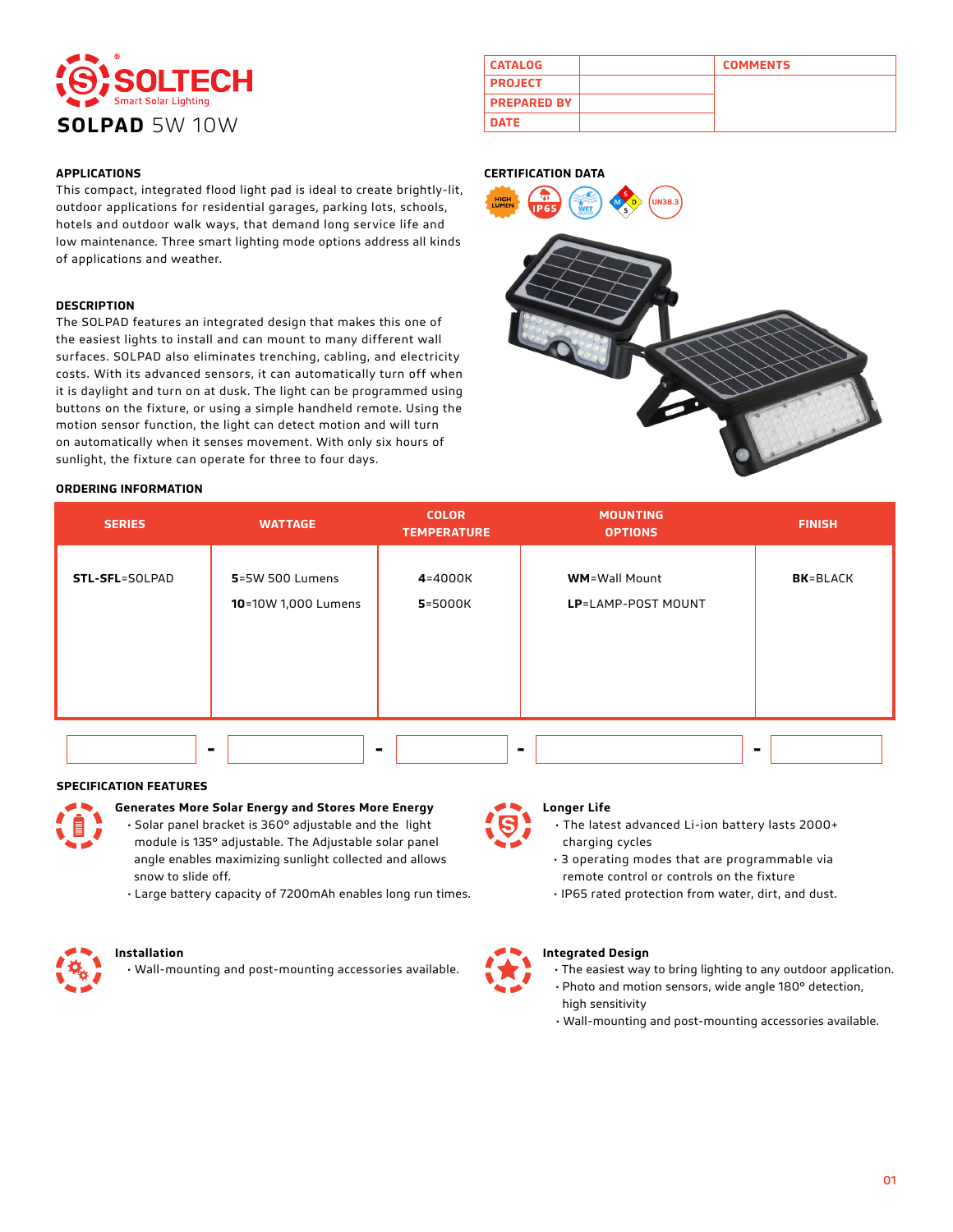

This compact, integrated flood light pad is ideal to create brightly-lit, outdoor applications for residential garages, parking lots, schools, hotels and outdoor walk ways, that demand long service life and low maintenance. Three smart lighting mode options address all kinds of applications and weather.

### **DESCRIPTION**

The SOLPAD features an integrated design that makes this one of the easiest lights to install and can mount to many different wall surfaces. SOLPAD also eliminates trenching, cabling, and electricity costs. With its advanced sensors, it can automatically turn off when it is daylight and turn on at dusk. The light can be programmed using buttons on the fixture, or using a simple handheld remote. Using the motion sensor function, the light can detect motion and will turn on automatically when it senses movement. With only six hours of sunlight, the fixture can operate for three to four days.

## **ORDERING INFORMATION**



## **CERTIFICATION DATA**



| <b>SERIES</b>  | <b>WATTAGE</b>                         | <b>COLOR</b><br><b>TEMPERATURE</b> | <b>MOUNTING</b><br><b>OPTIONS</b>           | <b>FINISH</b>    |
|----------------|----------------------------------------|------------------------------------|---------------------------------------------|------------------|
| STL-SFL=SOLPAD | 5=5W 500 Lumens<br>10=10W 1,000 Lumens | 4=4000K<br>5=5000K                 | <b>WM</b> =Wall Mount<br>LP=LAMP-POST MOUNT | <b>BK</b> =BLACK |
|                | $\blacksquare$                         |                                    |                                             |                  |

## **SPECIFICATION FEATURES**



# **Generates More Solar Energy and Stores More Energy**

- Solar panel bracket is 360° adjustable and the light module is 135° adjustable. The Adjustable solar panel angle enables maximizing sunlight collected and allows snow to slide off.
- Large battery capacity of 7200mAh enables long run times.



#### **Installation**

• Wall-mounting and post-mounting accessories available.



## **Longer Life**

- The latest advanced Li-ion battery lasts 2000+ charging cycles
- 3 operating modes that are programmable via remote control or controls on the fixture
- IP65 rated protection from water, dirt, and dust.



## **Integrated Design**

- The easiest way to bring lighting to any outdoor application.
- Photo and motion sensors, wide angle 180° detection, high sensitivity
- Wall-mounting and post-mounting accessories available.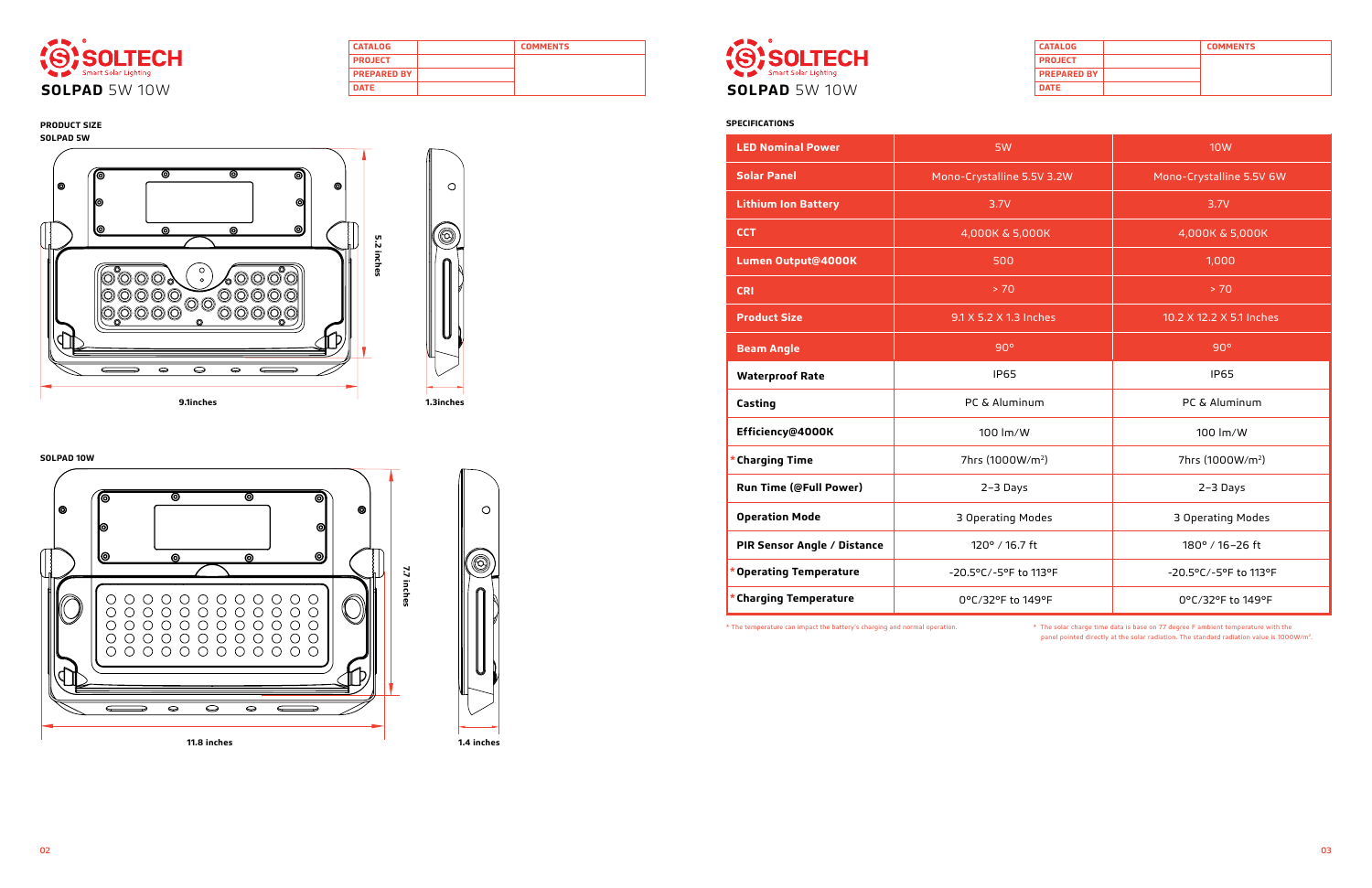| <b>CATALOG</b>     | <b>COMMENTS</b> |
|--------------------|-----------------|
| <b>PROJECT</b>     |                 |
| <b>PREPARED BY</b> |                 |
| <b>DATE</b>        |                 |



| <b>CATALOG</b>     | <b>COMMENTS</b> |
|--------------------|-----------------|
| <b>PROJECT</b>     |                 |
| <b>PREPARED BY</b> |                 |
| <b>DATE</b>        |                 |



# **SPECIFICATIONS**

| <b>LED Nominal Power</b>      | 5W                           | <b>10W</b>                   |
|-------------------------------|------------------------------|------------------------------|
| <b>Solar Panel</b>            | Mono-Crystalline 5.5V 3.2W   | Mono-Crystalline 5.5V 6W     |
| <b>Lithium Ion Battery</b>    | 3.7V                         | 3.7V                         |
| <b>CCT</b>                    | 4,000K & 5,000K              | 4,000K & 5,000K              |
| Lumen Output@4000K            | 500                          | 1,000                        |
| <b>CRI</b>                    | > 70                         | > 70                         |
| <b>Product Size</b>           | 9.1 X 5.2 X 1.3 Inches       | 10.2 X 12.2 X 5.1 Inches     |
| <b>Beam Angle</b>             | 90°                          | 90°                          |
| <b>Waterproof Rate</b>        | <b>IP65</b>                  | <b>IP65</b>                  |
| Casting                       | PC & Aluminum                | PC & Aluminum                |
| Efficiency@4000K              | 100 lm/W                     | 100 lm/W                     |
| * Charging Time               | 7hrs (1000W/m <sup>2</sup> ) | 7hrs (1000W/m <sup>2</sup> ) |
| <b>Run Time (@Full Power)</b> | 2-3 Days                     | 2-3 Days                     |
| <b>Operation Mode</b>         | 3 Operating Modes            | 3 Operating Modes            |
| PIR Sensor Angle / Distance   | 120° / 16.7 ft               | 180° / 16-26 ft              |
| * Operating Temperature       | -20.5°C/-5°F to 113°F        | -20.5°C/-5°F to 113°F        |
| * Charging Temperature        | 0°C/32°F to 149°F            | 0°C/32°F to 149°F            |

\* The temperature can impact the battery's charging and normal operation. \* The solar charge time data is base on 77 degree F ambient temperature with the panel pointed directly at the solar radiation. The standard radiation value is 1000W/m2.

# **PRODUCT SIZE SOLPAD 5W**

## **SOLPAD 10W**







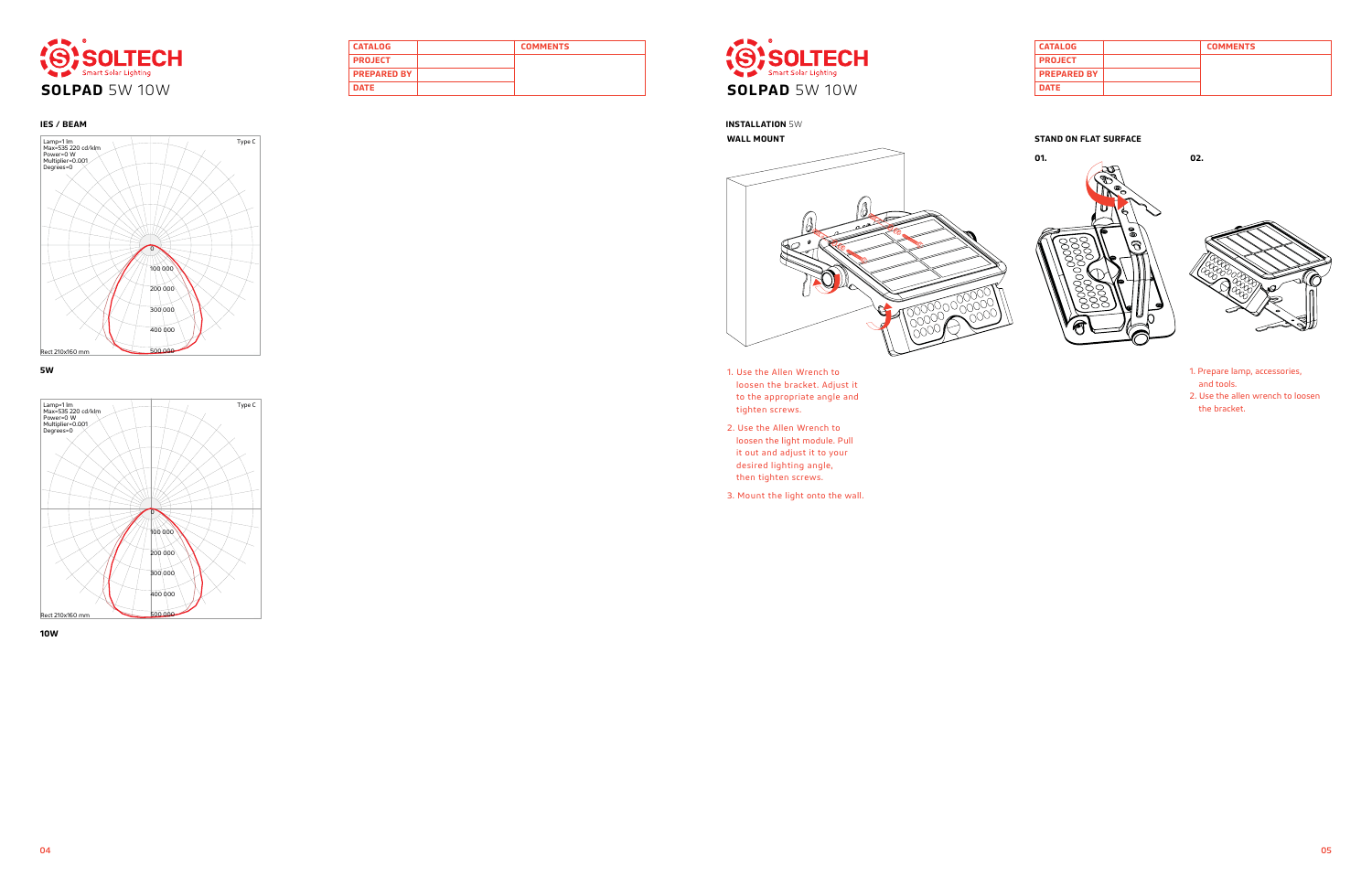| <b>CATALOG</b>     | <b>COMMENTS</b> |
|--------------------|-----------------|
| <b>PROJECT</b>     |                 |
| <b>PREPARED BY</b> |                 |
| <b>DATE</b>        |                 |



| <b>CATALOG</b>     | <b>COMMENTS</b> |
|--------------------|-----------------|
| <b>PROJECT</b>     |                 |
| <b>PREPARED BY</b> |                 |
| <b>DATE</b>        |                 |



**INSTALLATION** 5W











- 1. Use the Allen Wrench to loosen the bracket. Adjust it to the appropriate angle and tighten screws.
- 2. Use the Allen Wrench to loosen the light module. Pull it out and adjust it to your desired lighting angle, then tighten screws.
- 3. Mount the light onto the wall.
- 1. Prepare lamp, accessories, and tools.
- 2. Use the allen wrench to loosen the bracket.



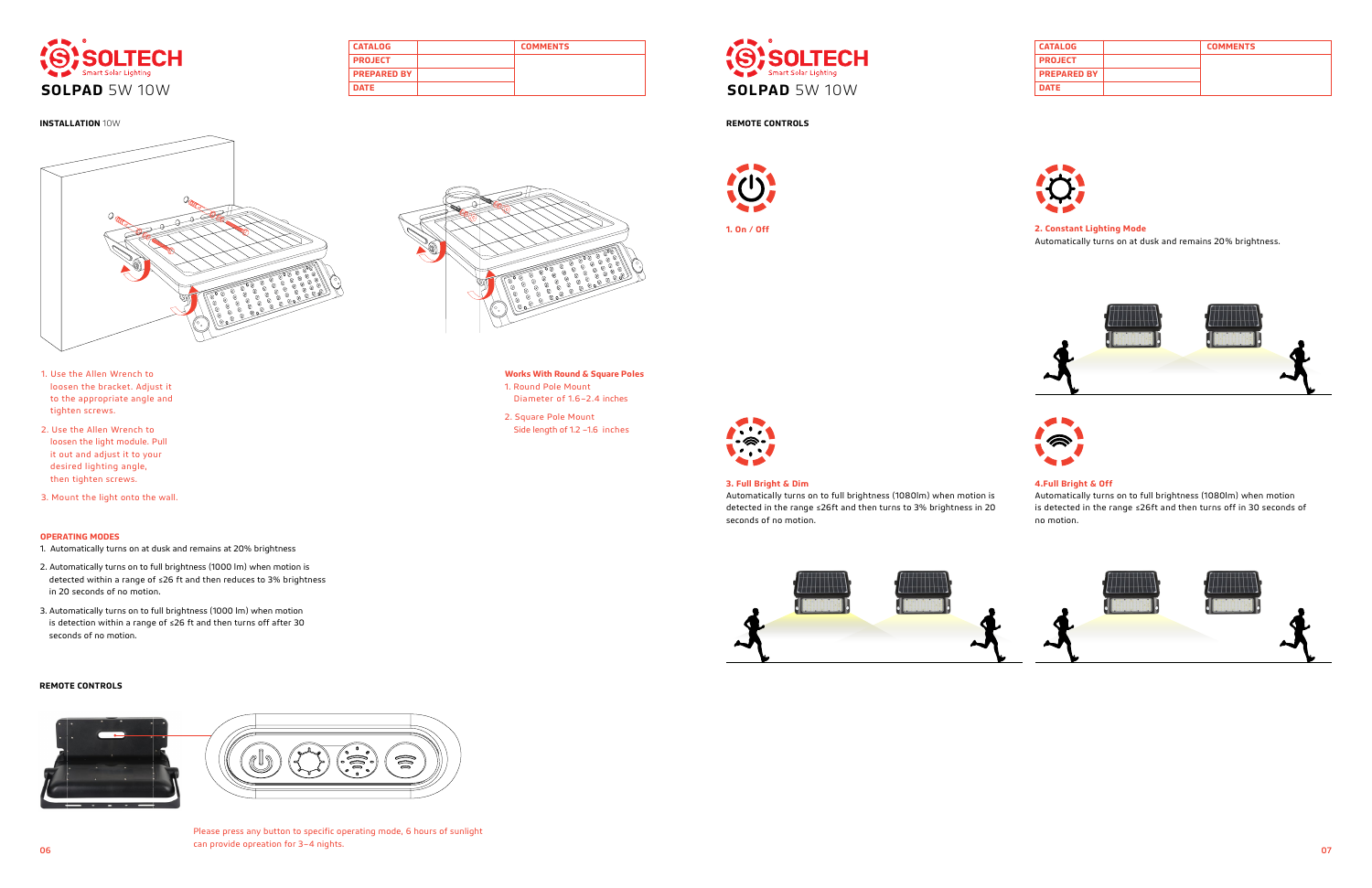**CATALOG COMMENTS**

**PROJECT PREPARED BY**



| <b>CATALOG</b>     | <b>COMMENTS</b> |
|--------------------|-----------------|
| <b>PROJECT</b>     |                 |
| <b>PREPARED BY</b> |                 |
| <b>DATE</b>        |                 |







## **3. Full Bright & Dim**

Automatically turns on to full brightness (1080lm) when motion is detected in the range ≤26ft and then turns to 3% brightness in 20 seconds of no motion.





# **4.Full Bright & Off**

06 07 Please press any button to specific operating mode, 6 hours of sunlight can provide opreation for 3–4 nights.



Automatically turns on to full brightness (1080lm) when motion is detected in the range ≤26ft and then turns off in 30 seconds of no motion.



# **REMOTE CONTROLS**





## **REMOTE CONTROLS**

**2. Constant Lighting Mode** Automatically turns on at dusk and remains 20% brightness.





# **INSTALLATION** 10W



1. Use the Allen Wrench to loosen the bracket. Adjust it to the appropriate angle and tighten screws.

2. Use the Allen Wrench to loosen the light module. Pull it out and adjust it to your desired lighting angle, then tighten screws.

3. Mount the light onto the wall.

## **OPERATING MODES**

- 1. Automatically turns on at dusk and remains at 20% brightness
- 2. Automatically turns on to full brightness (1000 lm) when motion is detected within a range of ≤26 ft and then reduces to 3% brightness in 20 seconds of no motion.
- 3. Automatically turns on to full brightness (1000 lm) when motion is detection within a range of ≤26 ft and then turns off after 30 seconds of no motion.

**Works With Round & Square Poles**

1. Round Pole Mount

Diameter of 1.6–2.4 inches

2. Square Pole Mount

Side length of 1.2 –1.6 inches